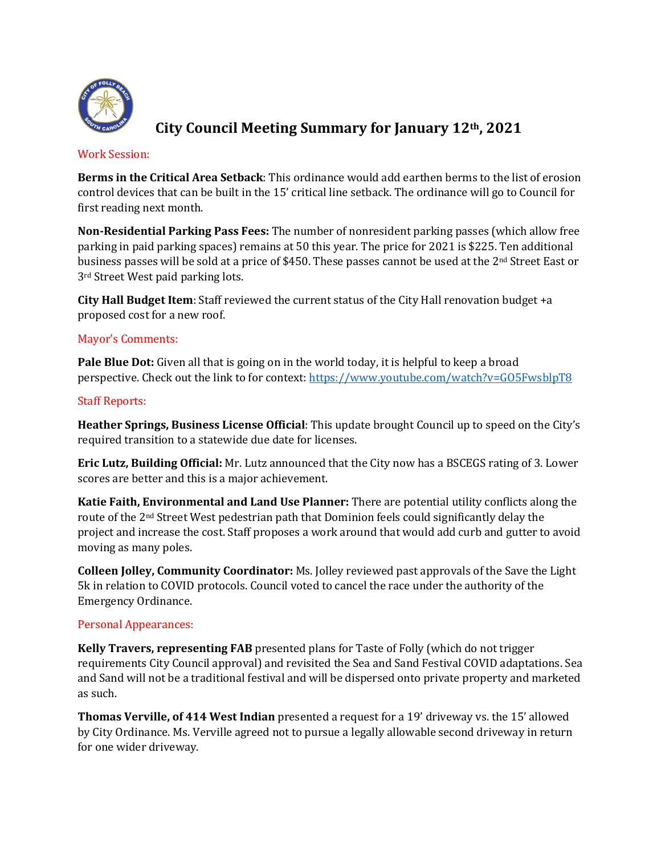

# **City Council Meeting Summary for January 12th, 2021**

### Work Session:

**Berms in the Critical Area Setback**: This ordinance would add earthen berms to the list of erosion control devices that can be built in the 15' critical line setback. The ordinance will go to Council for first reading next month.

**Non-Residential Parking Pass Fees:** The number of nonresident parking passes (which allow free parking in paid parking spaces) remains at 50 this year. The price for 2021 is \$225. Ten additional business passes will be sold at a price of \$450. These passes cannot be used at the 2<sup>nd</sup> Street East or 3rd Street West paid parking lots.

**City Hall Budget Item**: Staff reviewed the current status of the City Hall renovation budget +a proposed cost for a new roof.

## Mayor's Comments:

**Pale Blue Dot:** Given all that is going on in the world today, it is helpful to keep a broad perspective. Check out the link to for context[: https://www.youtube.com/watch?v=GO5FwsblpT8](https://www.youtube.com/watch?v=GO5FwsblpT8)

## Staff Reports:

**Heather Springs, Business License Official**: This update brought Council up to speed on the City's required transition to a statewide due date for licenses.

**Eric Lutz, Building Official:** Mr. Lutz announced that the City now has a BSCEGS rating of 3. Lower scores are better and this is a major achievement.

**Katie Faith, Environmental and Land Use Planner:** There are potential utility conflicts along the route of the 2nd Street West pedestrian path that Dominion feels could significantly delay the project and increase the cost. Staff proposes a work around that would add curb and gutter to avoid moving as many poles.

**Colleen Jolley, Community Coordinator:** Ms. Jolley reviewed past approvals of the Save the Light 5k in relation to COVID protocols. Council voted to cancel the race under the authority of the Emergency Ordinance.

## Personal Appearances:

**Kelly Travers, representing FAB** presented plans for Taste of Folly (which do not trigger requirements City Council approval) and revisited the Sea and Sand Festival COVID adaptations. Sea and Sand will not be a traditional festival and will be dispersed onto private property and marketed as such.

**Thomas Verville, of 414 West Indian** presented a request for a 19' driveway vs. the 15' allowed by City Ordinance. Ms. Verville agreed not to pursue a legally allowable second driveway in return for one wider driveway.